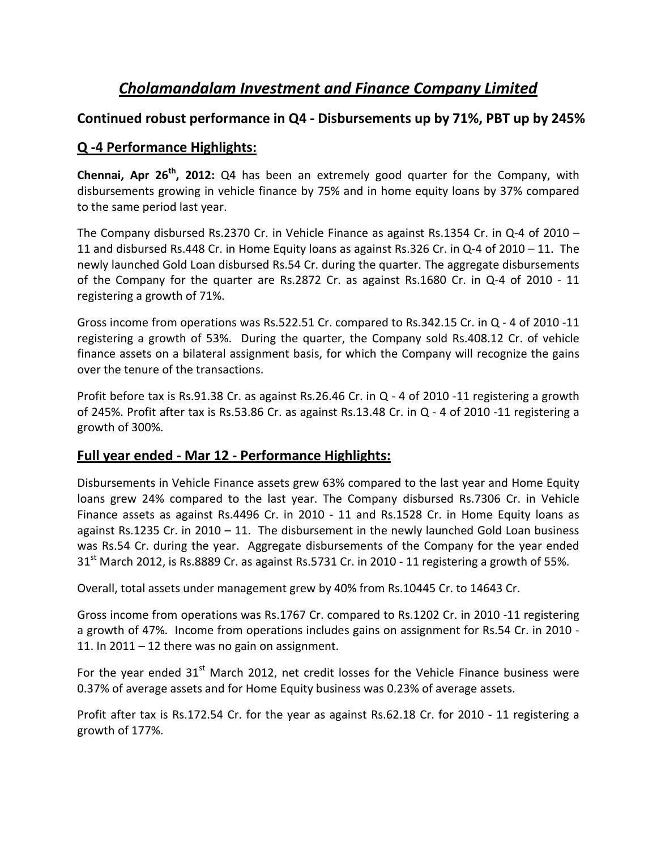# *Cholamandalam Investment and Finance Company Limited*

### **Continued robust performance in Q4 - Disbursements up by 71%, PBT up by 245%**

### **Q -4 Performance Highlights:**

**Chennai, Apr 26th, 2012:** Q4 has been an extremely good quarter for the Company, with disbursements growing in vehicle finance by 75% and in home equity loans by 37% compared to the same period last year.

The Company disbursed Rs.2370 Cr. in Vehicle Finance as against Rs.1354 Cr. in Q-4 of 2010 – 11 and disbursed Rs.448 Cr. in Home Equity loans as against Rs.326 Cr. in Q-4 of 2010 – 11. The newly launched Gold Loan disbursed Rs.54 Cr. during the quarter. The aggregate disbursements of the Company for the quarter are Rs.2872 Cr. as against Rs.1680 Cr. in Q-4 of 2010 - 11 registering a growth of 71%.

Gross income from operations was Rs.522.51 Cr. compared to Rs.342.15 Cr. in Q - 4 of 2010 -11 registering a growth of 53%. During the quarter, the Company sold Rs.408.12 Cr. of vehicle finance assets on a bilateral assignment basis, for which the Company will recognize the gains over the tenure of the transactions.

Profit before tax is Rs.91.38 Cr. as against Rs.26.46 Cr. in Q - 4 of 2010 -11 registering a growth of 245%. Profit after tax is Rs.53.86 Cr. as against Rs.13.48 Cr. in Q - 4 of 2010 -11 registering a growth of 300%.

### **Full year ended - Mar 12 - Performance Highlights:**

Disbursements in Vehicle Finance assets grew 63% compared to the last year and Home Equity loans grew 24% compared to the last year. The Company disbursed Rs.7306 Cr. in Vehicle Finance assets as against Rs.4496 Cr. in 2010 - 11 and Rs.1528 Cr. in Home Equity loans as against Rs.1235 Cr. in 2010 – 11. The disbursement in the newly launched Gold Loan business was Rs.54 Cr. during the year. Aggregate disbursements of the Company for the year ended  $31<sup>st</sup>$  March 2012, is Rs.8889 Cr. as against Rs.5731 Cr. in 2010 - 11 registering a growth of 55%.

Overall, total assets under management grew by 40% from Rs.10445 Cr. to 14643 Cr.

Gross income from operations was Rs.1767 Cr. compared to Rs.1202 Cr. in 2010 -11 registering a growth of 47%. Income from operations includes gains on assignment for Rs.54 Cr. in 2010 - 11. In 2011 – 12 there was no gain on assignment.

For the year ended  $31<sup>st</sup>$  March 2012, net credit losses for the Vehicle Finance business were 0.37% of average assets and for Home Equity business was 0.23% of average assets.

Profit after tax is Rs.172.54 Cr. for the year as against Rs.62.18 Cr. for 2010 - 11 registering a growth of 177%.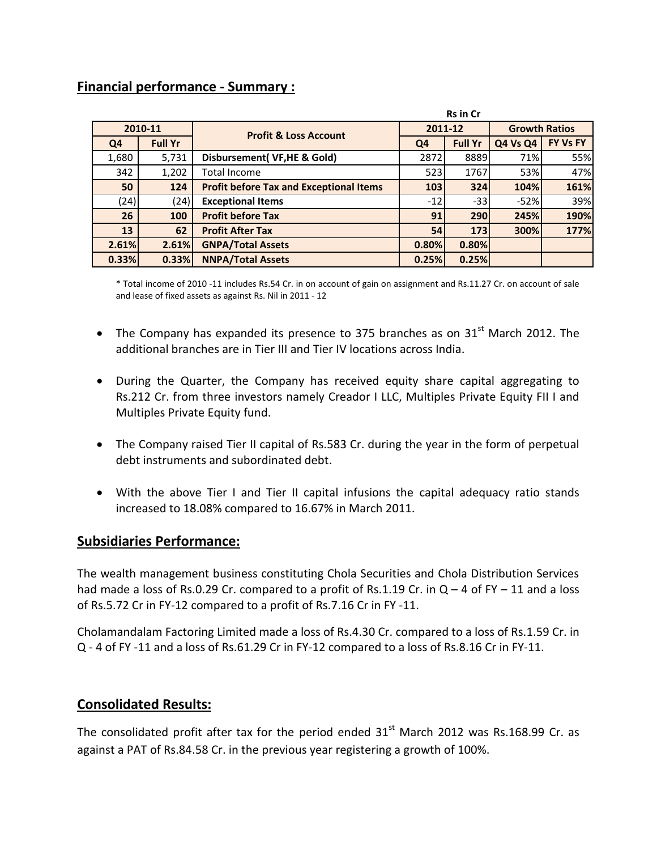### **Financial performance - Summary :**

| <b>Rs in Cr</b> |                |                                                |         |                |                      |          |  |
|-----------------|----------------|------------------------------------------------|---------|----------------|----------------------|----------|--|
| 2010-11         |                | <b>Profit &amp; Loss Account</b>               | 2011-12 |                | <b>Growth Ratios</b> |          |  |
| Q4              | <b>Full Yr</b> |                                                | Q4      | <b>Full Yr</b> | <b>Q4 Vs Q4</b>      | FY Vs FY |  |
| 1,680           | 5,731          | Disbursement(VF,HE & Gold)                     | 2872    | 8889           | 71%                  | 55%      |  |
| 342             | 1,202          | <b>Total Income</b>                            | 523     | 1767           | 53%                  | 47%      |  |
| 50              | 124            | <b>Profit before Tax and Exceptional Items</b> | 103     | 324            | 104%                 | 161%     |  |
| (24)            | (24)           | <b>Exceptional Items</b>                       | $-12$   | $-33$          | $-52%$               | 39%      |  |
| 26              | 100            | <b>Profit before Tax</b>                       | 91      | 290            | 245%                 | 190%     |  |
| 13              | 62             | <b>Profit After Tax</b>                        | 54      | 173            | 300%                 | 177%     |  |
| 2.61%           | 2.61%          | <b>GNPA/Total Assets</b>                       | 0.80%   | 0.80%          |                      |          |  |
| 0.33%           | 0.33%          | <b>NNPA/Total Assets</b>                       | 0.25%   | 0.25%          |                      |          |  |

\* Total income of 2010 -11 includes Rs.54 Cr. in on account of gain on assignment and Rs.11.27 Cr. on account of sale and lease of fixed assets as against Rs. Nil in 2011 - 12

- The Company has expanded its presence to 375 branches as on  $31<sup>st</sup>$  March 2012. The additional branches are in Tier III and Tier IV locations across India.
- During the Quarter, the Company has received equity share capital aggregating to Rs.212 Cr. from three investors namely Creador I LLC, Multiples Private Equity FII I and Multiples Private Equity fund.
- The Company raised Tier II capital of Rs.583 Cr. during the year in the form of perpetual debt instruments and subordinated debt.
- With the above Tier I and Tier II capital infusions the capital adequacy ratio stands increased to 18.08% compared to 16.67% in March 2011.

#### **Subsidiaries Performance:**

The wealth management business constituting Chola Securities and Chola Distribution Services had made a loss of Rs.0.29 Cr. compared to a profit of Rs.1.19 Cr. in  $Q - 4$  of FY – 11 and a loss of Rs.5.72 Cr in FY-12 compared to a profit of Rs.7.16 Cr in FY -11.

Cholamandalam Factoring Limited made a loss of Rs.4.30 Cr. compared to a loss of Rs.1.59 Cr. in Q - 4 of FY -11 and a loss of Rs.61.29 Cr in FY-12 compared to a loss of Rs.8.16 Cr in FY-11.

### **Consolidated Results:**

The consolidated profit after tax for the period ended  $31<sup>st</sup>$  March 2012 was Rs.168.99 Cr. as against a PAT of Rs.84.58 Cr. in the previous year registering a growth of 100%.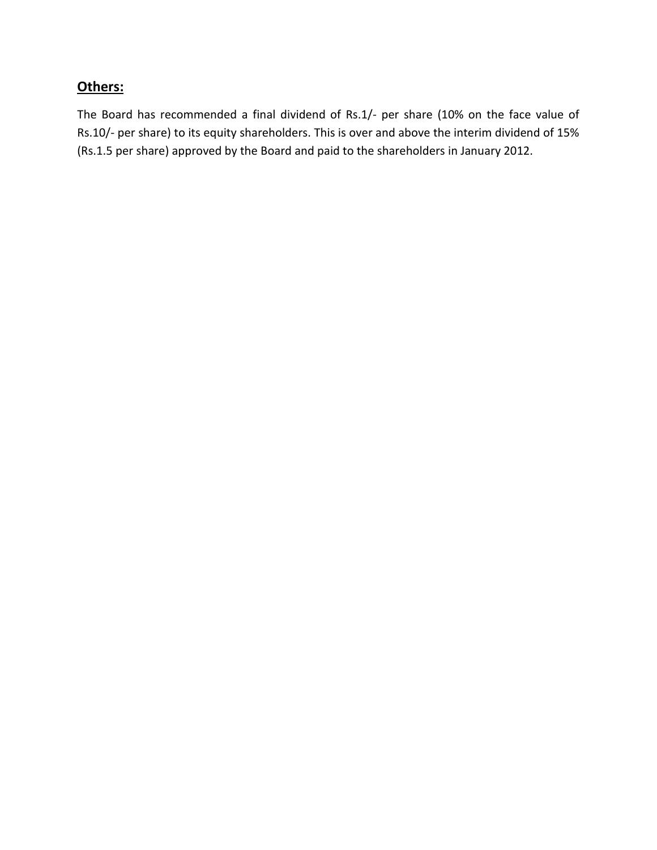## **Others:**

The Board has recommended a final dividend of Rs.1/- per share (10% on the face value of Rs.10/- per share) to its equity shareholders. This is over and above the interim dividend of 15% (Rs.1.5 per share) approved by the Board and paid to the shareholders in January 2012.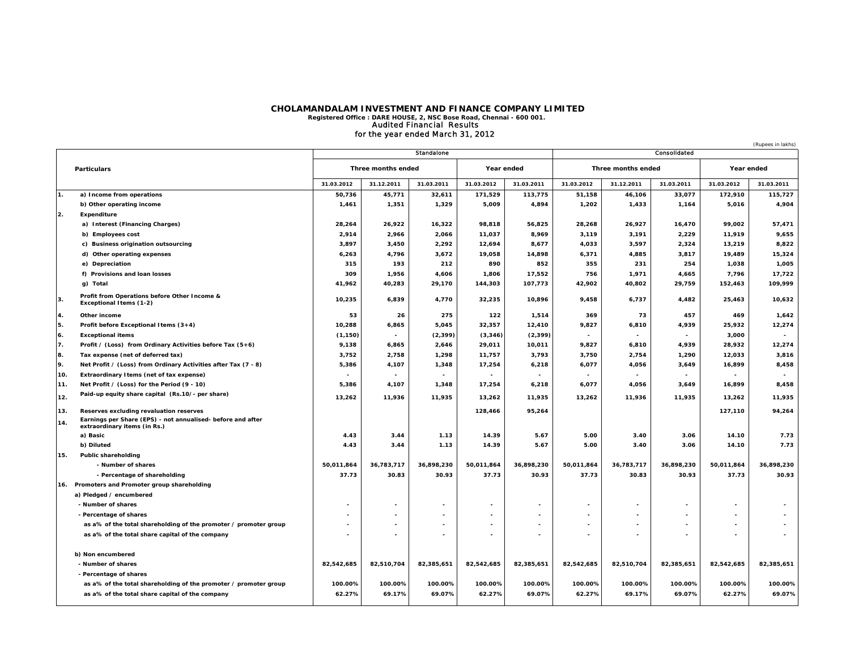### **CHOLAMANDALAM INVESTMENT AND FINANCE COMPANY LIMITED Registered Office : DARE HOUSE, 2, NSC Bose Road, Chennai - 600 001.** Audited Financial Results for the year ended March 31, 2012

|                    |                                                                                             |                    |                          |                   |                          |                          |                          | (Rupees in lakhs)   |                          |                     |                          |
|--------------------|---------------------------------------------------------------------------------------------|--------------------|--------------------------|-------------------|--------------------------|--------------------------|--------------------------|---------------------|--------------------------|---------------------|--------------------------|
|                    |                                                                                             |                    |                          | <b>Standalone</b> |                          |                          |                          |                     | Consolidated             |                     |                          |
| <b>Particulars</b> |                                                                                             | Three months ended |                          | Year ended        |                          | Three months ended       |                          | Year ended          |                          |                     |                          |
|                    |                                                                                             | 31.03.2012         | 31.12.2011               | 31.03.2011        | 31.03.2012               | 31.03.2011               | 31.03.2012               | 31.12.2011          | 31.03.2011               | 31.03.2012          | 31.03.2011               |
| 1.                 | a) Income from operations                                                                   | 50,736             | 45,771                   | 32,611            | 171,529                  | 113,775                  | 51,158                   | 46,106              | 33,077                   | 172,910             | 115,727                  |
|                    | b) Other operating income                                                                   | 1,461              | 1,351                    | 1,329             | 5,009                    | 4,894                    | 1,202                    | 1,433               | 1,164                    | 5,016               | 4,904                    |
| 2.                 | <b>Expenditure</b>                                                                          |                    |                          |                   |                          |                          |                          |                     |                          |                     |                          |
|                    | a) Interest (Financing Charges)                                                             | 28,264             | 26,922                   | 16,322            | 98,818                   | 56,825                   | 28,268                   | 26,927              | 16,470                   | 99,002              | 57,471                   |
|                    | b) Employees cost                                                                           | 2,914              | 2,966                    | 2,066             | 11,037                   | 8,969                    | 3,119                    | 3,191               | 2,229                    | 11,919              | 9,655                    |
|                    | c) Business origination outsourcing                                                         | 3,897              | 3,450                    | 2,292             | 12,694                   | 8,677                    | 4,033                    | 3,597               | 2,324                    | 13,219              | 8,822                    |
|                    | d) Other operating expenses                                                                 | 6,263              | 4,796                    | 3,672             | 19,058                   | 14,898                   | 6,371                    | 4,885               | 3,817                    | 19,489              | 15,324                   |
|                    | e) Depreciation                                                                             | 315                | 193                      | 212               | 890                      | 852                      | 355                      | 231                 | 254                      | 1,038               | 1,005                    |
|                    | f) Provisions and loan losses                                                               | 309                | 1,956                    | 4,606             | 1,806                    | 17,552                   | 756                      | 1,971               | 4,665                    | 7,796               | 17,722                   |
|                    | g) Total                                                                                    | 41,962             | 40,283                   | 29,170            | 144,303                  | 107,773                  | 42,902                   | 40,802              | 29,759                   | 152,463             | 109,999                  |
| 3.                 | Profit from Operations before Other Income &<br><b>Exceptional Items (1-2)</b>              | 10,235             | 6,839                    | 4,770             | 32,235                   | 10,896                   | 9,458                    | 6,737               | 4,482                    | 25,463              | 10,632                   |
| 4.                 | Other income                                                                                | 53                 | 26                       | 275               | 122                      | 1,514                    | 369                      | 73                  | 457                      | 469                 | 1,642                    |
| 5.                 | Profit before Exceptional Items (3+4)                                                       | 10,288             | 6,865                    | 5,045             | 32,357                   | 12,410                   | 9,827                    | 6,810               | 4,939                    | 25,932              | 12,274                   |
| 6.                 | <b>Exceptional items</b>                                                                    | (1, 150)           | $\sim$                   | (2, 399)          | (3, 346)                 | (2, 399)                 | $\overline{\phantom{a}}$ | $\blacksquare$      | $\overline{\phantom{a}}$ | 3,000               | $\overline{\phantom{a}}$ |
| 7.                 | Profit / (Loss) from Ordinary Activities before Tax $(5+6)$                                 | 9,138              | 6,865                    | 2,646             | 29,011                   | 10,011                   | 9,827                    | 6,810               | 4,939                    | 28,932              | 12,274                   |
| 8.                 | Tax expense (net of deferred tax)                                                           | 3,752              | 2,758                    | 1,298             | 11,757                   | 3,793                    | 3,750                    | 2,754               | 1,290                    | 12,033              | 3,816                    |
| 9.                 | Net Profit / (Loss) from Ordinary Activities after Tax (7 - 8)                              | 5,386              | 4,107                    | 1,348             | 17,254                   | 6,218                    | 6,077                    | 4,056               | 3,649                    | 16,899              | 8,458                    |
| 10.                | Extraordinary I tems (net of tax expense)                                                   | ٠                  |                          |                   | $\blacksquare$           |                          |                          |                     |                          |                     |                          |
| 11.                | Net Profit / (Loss) for the Period (9 - 10)                                                 | 5,386              | 4,107                    | 1,348             | 17,254                   | 6,218                    | 6,077                    | 4,056               | 3,649                    | 16,899              | 8,458                    |
| 12.                | Paid-up equity share capital (Rs.10/- per share)                                            | 13,262             | 11,936                   | 11,935            | 13,262                   | 11,935                   | 13,262                   | 11,936              | 11,935                   | 13,262              | 11,935                   |
| 13.                | Reserves excluding revaluation reserves                                                     |                    |                          |                   | 128,466                  | 95,264                   |                          |                     |                          | 127,110             | 94,264                   |
| 14.                | Earnings per Share (EPS) - not annualised- before and after<br>extraordinary items (in Rs.) |                    |                          |                   |                          |                          |                          |                     |                          |                     |                          |
|                    | a) Basic                                                                                    | 4.43               | 3.44                     | 1.13              | 14.39                    | 5.67                     | 5.00                     | 3.40                | 3.06                     | 14.10               | 7.73                     |
|                    | b) Diluted                                                                                  | 4.43               | 3.44                     | 1.13              | 14.39                    | 5.67                     | 5.00                     | 3.40                | 3.06                     | 14.10               | 7.73                     |
| 15.                | Public shareholding<br>- Number of shares                                                   | 50,011,864         | 36,783,717               | 36,898,230        | 50,011,864               |                          | 50,011,864               |                     | 36,898,230               |                     | 36,898,230               |
|                    |                                                                                             | 37.73              | 30.83                    | 30.93             | 37.73                    | 36,898,230<br>30.93      | 37.73                    | 36,783,717<br>30.83 | 30.93                    | 50,011,864<br>37.73 | 30.93                    |
|                    | - Percentage of shareholding<br>16. Promoters and Promoter group shareholding               |                    |                          |                   |                          |                          |                          |                     |                          |                     |                          |
|                    | a) Pledged / encumbered                                                                     |                    |                          |                   |                          |                          |                          |                     |                          |                     |                          |
|                    | - Number of shares                                                                          |                    |                          |                   |                          |                          |                          |                     |                          |                     |                          |
|                    | - Percentage of shares                                                                      |                    | $\overline{\phantom{a}}$ |                   | $\overline{\phantom{a}}$ |                          |                          |                     |                          |                     |                          |
|                    | as a% of the total shareholding of the promoter / promoter group                            |                    |                          |                   |                          |                          |                          |                     |                          |                     |                          |
|                    | as a% of the total share capital of the company                                             |                    |                          |                   |                          | $\overline{\phantom{a}}$ |                          |                     |                          |                     |                          |
|                    |                                                                                             |                    |                          |                   |                          |                          |                          |                     |                          |                     |                          |
| b) Non encumbered  |                                                                                             |                    |                          |                   |                          |                          |                          |                     |                          |                     |                          |
|                    | - Number of shares                                                                          | 82,542,685         | 82,510,704               | 82,385,651        | 82,542,685               | 82,385,651               | 82,542,685               | 82,510,704          | 82,385,651               | 82,542,685          | 82,385,651               |
|                    | - Percentage of shares                                                                      |                    |                          |                   |                          |                          |                          |                     |                          |                     |                          |
|                    | as a% of the total shareholding of the promoter / promoter group                            | 100.00%            | 100.00%                  | 100.00%           | 100.00%                  | 100.00%                  | 100.00%                  | 100.00%             | 100.00%                  | 100.00%             | 100.00%                  |
|                    | as a% of the total share capital of the company                                             | 62.27%             | 69.17%                   | 69.07%            | 62.27%                   | 69.07%                   | 62.27%                   | 69.17%              | 69.07%                   | 62.27%              | 69.07%                   |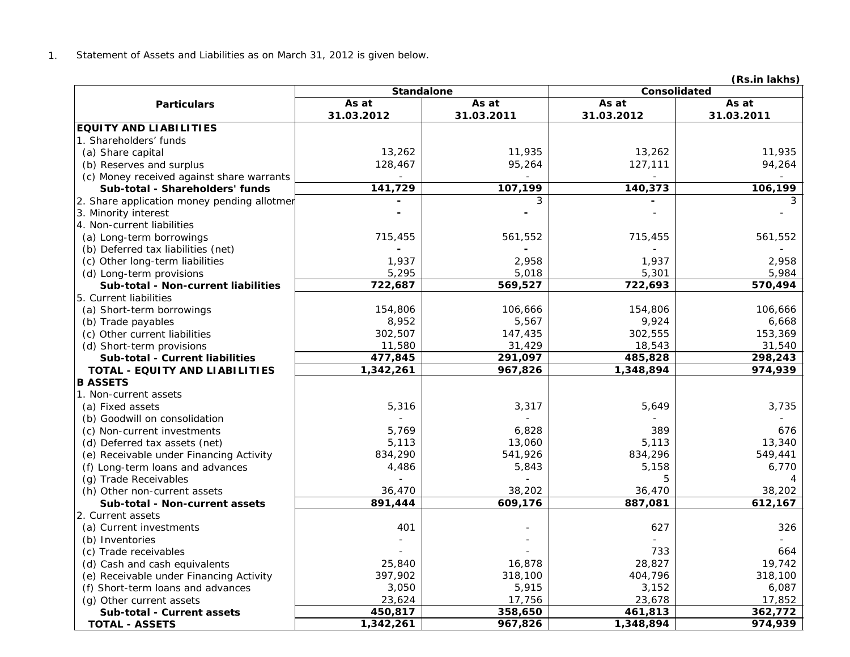1.Statement of Assets and Liabilities as on March 31, 2012 is given below.

**(Rs.in lakhs)**

|                                             | <b>Standalone</b> |            | Consolidated   |            |  |  |
|---------------------------------------------|-------------------|------------|----------------|------------|--|--|
| <b>Particulars</b>                          | As at             | As at      | As at<br>As at |            |  |  |
|                                             | 31.03.2012        | 31.03.2011 | 31.03.2012     | 31.03.2011 |  |  |
| <b>EQUITY AND LIABILITIES</b>               |                   |            |                |            |  |  |
| 1. Shareholders' funds                      |                   |            |                |            |  |  |
| (a) Share capital                           | 13,262            | 11,935     | 13,262         | 11,935     |  |  |
| (b) Reserves and surplus                    | 128,467           | 95,264     | 127,111        | 94,264     |  |  |
| (c) Money received against share warrants   |                   |            |                |            |  |  |
| Sub-total - Shareholders' funds             | 141,729           | 107,199    | 140,373        | 106,199    |  |  |
| 2. Share application money pending allotmer |                   | 3          |                | 3          |  |  |
| 3. Minority interest                        |                   |            |                |            |  |  |
| 4. Non-current liabilities                  |                   |            |                |            |  |  |
| (a) Long-term borrowings                    | 715,455           | 561,552    | 715,455        | 561,552    |  |  |
| (b) Deferred tax liabilities (net)          |                   |            |                |            |  |  |
| (c) Other long-term liabilities             | 1,937             | 2,958      | 1,937          | 2,958      |  |  |
| (d) Long-term provisions                    | 5,295             | 5,018      | 5,301          | 5,984      |  |  |
| Sub-total - Non-current liabilities         | 722,687           | 569,527    | 722,693        | 570,494    |  |  |
| 5. Current liabilities                      |                   |            |                |            |  |  |
| (a) Short-term borrowings                   | 154,806           | 106,666    | 154,806        | 106,666    |  |  |
| (b) Trade payables                          | 8,952             | 5,567      | 9,924          | 6,668      |  |  |
| (c) Other current liabilities               | 302,507           | 147,435    | 302,555        | 153,369    |  |  |
| (d) Short-term provisions                   | 11,580            | 31,429     | 18,543         | 31,540     |  |  |
| <b>Sub-total - Current liabilities</b>      | 477,845           | 291,097    | 485,828        | 298,243    |  |  |
| TOTAL - EQUITY AND LIABILITIES              | 1,342,261         | 967,826    | 1,348,894      | 974,939    |  |  |
| <b>B ASSETS</b>                             |                   |            |                |            |  |  |
| 1. Non-current assets                       |                   |            |                |            |  |  |
| (a) Fixed assets                            | 5,316             | 3,317      | 5,649          | 3,735      |  |  |
| (b) Goodwill on consolidation               |                   |            |                |            |  |  |
| (c) Non-current investments                 | 5,769             | 6,828      | 389            | 676        |  |  |
| (d) Deferred tax assets (net)               | 5,113             | 13,060     | 5,113          | 13,340     |  |  |
| (e) Receivable under Financing Activity     | 834,290           | 541,926    | 834,296        | 549,441    |  |  |
| (f) Long-term loans and advances            | 4,486             | 5,843      | 5,158          | 6,770      |  |  |
| (g) Trade Receivables                       |                   |            | 5              | Δ          |  |  |
| (h) Other non-current assets                | 36,470            | 38,202     | 36,470         | 38,202     |  |  |
| Sub-total - Non-current assets              | 891,444           | 609,176    | 887,081        | 612,167    |  |  |
| 2. Current assets                           |                   |            |                |            |  |  |
| (a) Current investments                     | 401               |            | 627            | 326        |  |  |
| (b) Inventories                             |                   |            |                |            |  |  |
| (c) Trade receivables                       |                   |            | 733            | 664        |  |  |
| (d) Cash and cash equivalents               | 25,840            | 16,878     | 28,827         | 19,742     |  |  |
| (e) Receivable under Financing Activity     | 397,902           | 318,100    | 404,796        | 318,100    |  |  |
| (f) Short-term loans and advances           | 3,050             | 5,915      | 3,152          | 6,087      |  |  |
| (g) Other current assets                    | 23,624            | 17,756     | 23,678         | 17,852     |  |  |
| Sub-total - Current assets                  | 450,817           | 358,650    | 461,813        | 362,772    |  |  |
| <b>TOTAL - ASSETS</b>                       | 1,342,261         | 967,826    | 1,348,894      | 974,939    |  |  |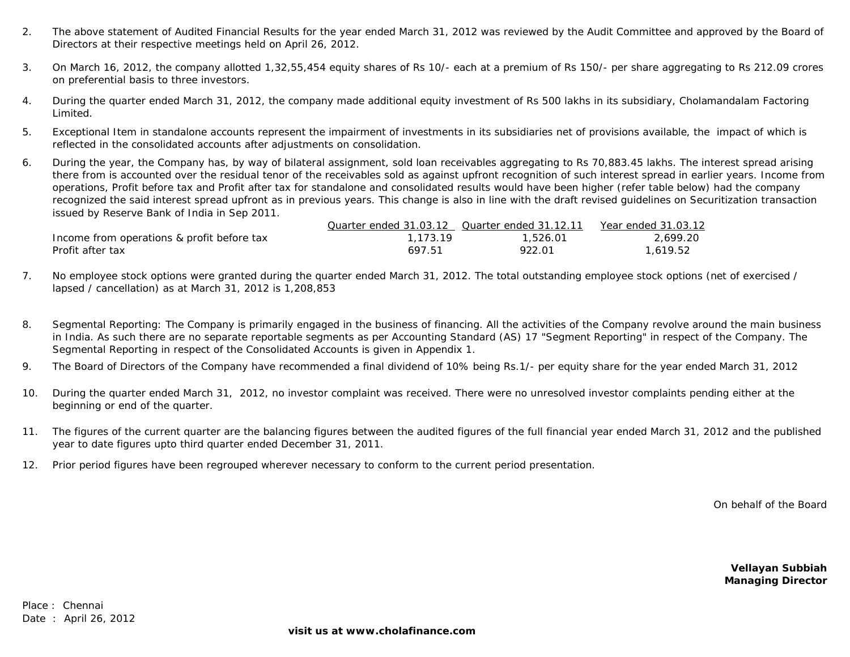- 2.The above statement of Audited Financial Results for the year ended March 31, 2012 was reviewed by the Audit Committee and approved by the Board of Directors at their respective meetings held on April 26, 2012.
- 3.On March 16, 2012, the company allotted 1,32,55,454 equity shares of Rs 10/- each at a premium of Rs 150/- per share aggregating to Rs 212.09 crores on preferential basis to three investors.
- 4.During the quarter ended March 31, 2012, the company made additional equity investment of Rs 500 lakhs in its subsidiary, Cholamandalam Factoring Limited.
- 5.Exceptional Item in standalone accounts represent the impairment of investments in its subsidiaries net of provisions available, the impact of which is reflected in the consolidated accounts after adjustments on consolidation.
- 6.During the year, the Company has, by way of bilateral assignment, sold loan receivables aggregating to Rs 70,883.45 lakhs. The interest spread arising there from is accounted over the residual tenor of the receivables sold as against upfront recognition of such interest spread in earlier years. Income from operations, Profit before tax and Profit after tax for standalone and consolidated results would have been higher (refer table below) had the company recognized the said interest spread upfront as in previous years. This change is also in line with the draft revised guidelines on Securitization transaction issued by Reserve Bank of India in Sep 2011.

|                                            | Quarter ended 31.03.12 Quarter ended 31.12.11 |          | Year ended 31.03.12 |
|--------------------------------------------|-----------------------------------------------|----------|---------------------|
| Income from operations & profit before tax | 1,173.19                                      | 1,526.01 | 2.699.20            |
| Profit after tax                           | 697.51                                        | 922.01   | 1.619.52            |

- 7.No employee stock options were granted during the quarter ended March 31, 2012. The total outstanding employee stock options (net of exercised / lapsed / cancellation) as at March 31, 2012 is 1,208,853
- 8.Segmental Reporting: The Company is primarily engaged in the business of financing. All the activities of the Company revolve around the main business in India. As such there are no separate reportable segments as per Accounting Standard (AS) 17 "Segment Reporting" in respect of the Company. The Segmental Reporting in respect of the Consolidated Accounts is given in Appendix 1.
- 9.The Board of Directors of the Company have recommended a final dividend of 10% being Rs.1/- per equity share for the year ended March 31, 2012
- 10.During the quarter ended March 31, 2012, no investor complaint was received. There were no unresolved investor complaints pending either at the beginning or end of the quarter.
- 11.The figures of the current quarter are the balancing figures between the audited figures of the full financial year ended March 31, 2012 and the published year to date figures upto third quarter ended December 31, 2011.
- 12.Prior period figures have been regrouped wherever necessary to conform to the current period presentation.

On behalf of the Board

**Vellayan Subbiah Managing Director**